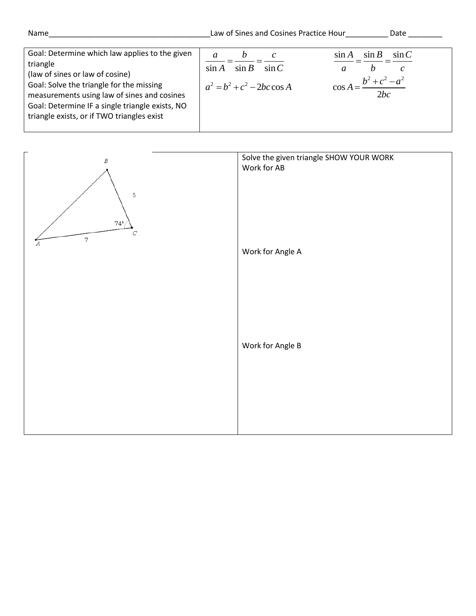| Name                                                                                                                                                                                                                                                                                      | Law of Sines and Cosines Practice Hour                                                 | Date                                                                                    |
|-------------------------------------------------------------------------------------------------------------------------------------------------------------------------------------------------------------------------------------------------------------------------------------------|----------------------------------------------------------------------------------------|-----------------------------------------------------------------------------------------|
| Goal: Determine which law applies to the given<br>triangle<br>(law of sines or law of cosine)<br>Goal: Solve the triangle for the missing<br>measurements using law of sines and cosines<br>Goal: Determine IF a single triangle exists, NO<br>triangle exists, or if TWO triangles exist | $\boldsymbol{v}$<br>$\sin B$<br>$\sin A$<br>$\sin C$<br>$a^2 = b^2 + c^2 - 2bc \cos A$ | $\sin C$<br>$\sin B$<br>$\sin A$<br>a<br>$\mathcal{C}$<br>h<br>$b^2 + c^2 - a^2$<br>2bc |

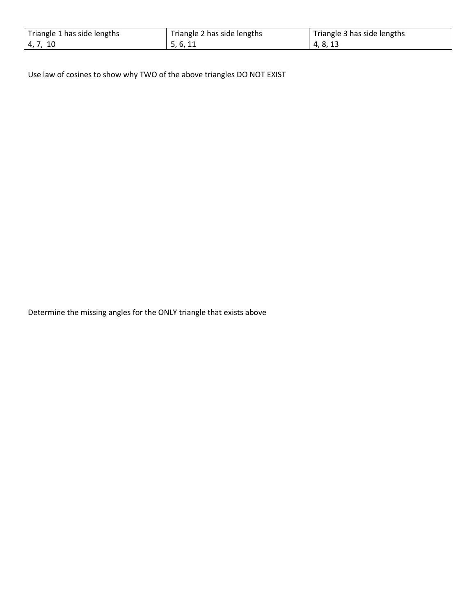| Triangle 1 has side lengths | Triangle 2 has side lengths | Triangle 3 has side lengths |
|-----------------------------|-----------------------------|-----------------------------|
| 4, 7, 10                    | 5.6.11                      | 4, 8, 13                    |

Use law of cosines to show why TWO of the above triangles DO NOT EXIST

Determine the missing angles for the ONLY triangle that exists above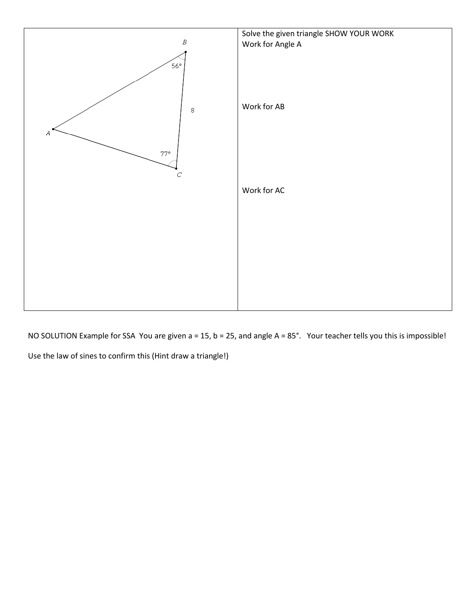

NO SOLUTION Example for SSA You are given a = 15, b = 25, and angle A = 85°. Your teacher tells you this is impossible! Use the law of sines to confirm this (Hint draw a triangle!)